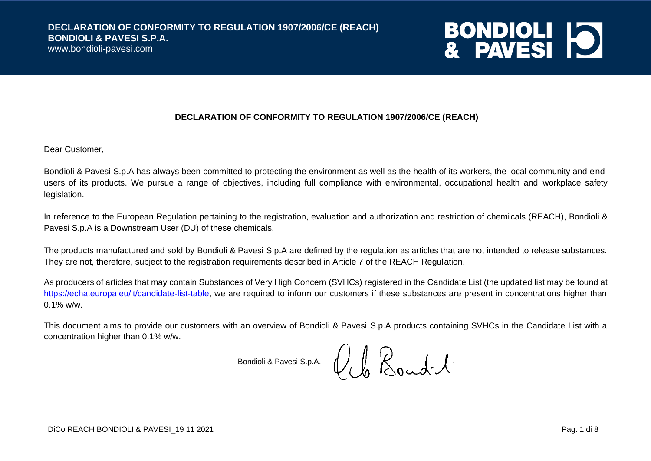www.bondioli-pavesi.com



#### **DECLARATION OF CONFORMITY TO REGULATION 1907/2006/CE (REACH)**

Dear Customer,

Bondioli & Pavesi S.p.A has always been committed to protecting the environment as well as the health of its workers, the local community and endusers of its products. We pursue a range of objectives, including full compliance with environmental, occupational health and workplace safety legislation.

In reference to the European Regulation pertaining to the registration, evaluation and authorization and restriction of chemicals (REACH), Bondioli & Pavesi S.p.A is a Downstream User (DU) of these chemicals.

The products manufactured and sold by Bondioli & Pavesi S.p.A are defined by the regulation as articles that are not intended to release substances. They are not, therefore, subject to the registration requirements described in Article 7 of the REACH Regulation.

As producers of articles that may contain Substances of Very High Concern (SVHCs) registered in the Candidate List (the updated list may be found at [https://echa.europa.eu/it/candidate-list-table,](https://echa.europa.eu/it/candidate-list-table) we are required to inform our customers if these substances are present in concentrations higher than  $0.1\%$  w/w.

This document aims to provide our customers with an overview of Bondioli & Pavesi S.p.A products containing SVHCs in the Candidate List with a concentration higher than 0.1% w/w.

Bondioli & Pavesi S.p.A.  $\bigcup_{l} \bigcup_{n} \bigotimes_{n} \omega_l \cdot \mathcal{A} \cdot \mathcal{A}$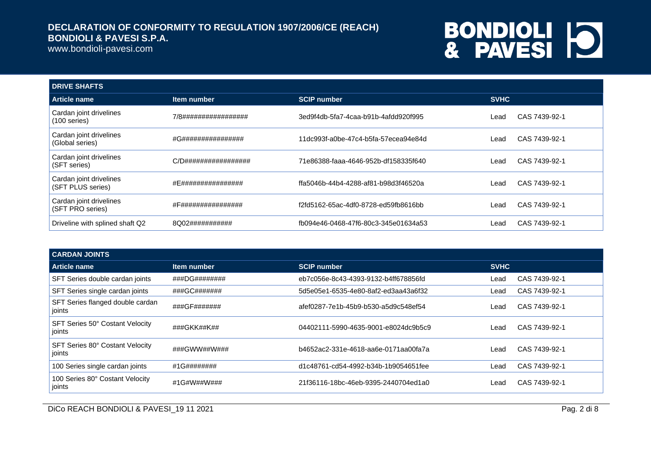www.bondioli-pavesi.com

# **BONDIOLI 10**

| <b>DRIVE SHAFTS</b>                          |                      |                                      |             |               |
|----------------------------------------------|----------------------|--------------------------------------|-------------|---------------|
| Article name                                 | Item number          | <b>SCIP number</b>                   | <b>SVHC</b> |               |
| Cardan joint drivelines<br>$(100$ series)    | 7/8################# | 3ed9f4db-5fa7-4caa-b91b-4afdd920f995 | ∟ead        | CAS 7439-92-1 |
| Cardan joint drivelines<br>(Global series)   | #G################   | 11dc993f-a0be-47c4-b5fa-57ecea94e84d | Lead        | CAS 7439-92-1 |
| Cardan joint drivelines<br>(SFT series)      | C/D################# | 71e86388-faaa-4646-952b-df158335f640 | _ead        | CAS 7439-92-1 |
| Cardan joint drivelines<br>(SFT PLUS series) | #E################   | ffa5046b-44b4-4288-af81-b98d3f46520a | ∟ead        | CAS 7439-92-1 |
| Cardan joint drivelines<br>(SFT PRO series)  | #F################   | f2fd5162-65ac-4df0-8728-ed59fb8616bb | Lead        | CAS 7439-92-1 |
| Driveline with splined shaft Q2              | 8Q02###########      | fb094e46-0468-47f6-80c3-345e01634a53 | Lead        | CAS 7439-92-1 |

| <b>CARDAN JOINTS</b>                       |               |                                      |             |               |
|--------------------------------------------|---------------|--------------------------------------|-------------|---------------|
| Article name                               | Item number   | <b>SCIP number</b>                   | <b>SVHC</b> |               |
| SFT Series double cardan joints            | ###DG######## | eb7c056e-8c43-4393-9132-b4ff678856fd | Lead        | CAS 7439-92-1 |
| SFT Series single cardan joints            | ###GC#######  | 5d5e05e1-6535-4e80-8af2-ed3aa43a6f32 | Lead        | CAS 7439-92-1 |
| SFT Series flanged double cardan<br>joints | ###GF#######  | afef0287-7e1b-45b9-b530-a5d9c548ef54 | Lead        | CAS 7439-92-1 |
| SFT Series 50° Costant Velocity<br>joints  | ###GKK##K##   | 04402111-5990-4635-9001-e8024dc9b5c9 | Lead        | CAS 7439-92-1 |
| SFT Series 80° Costant Velocity<br>joints  | ###GWW##W###  | b4652ac2-331e-4618-aa6e-0171aa00fa7a | Lead        | CAS 7439-92-1 |
| 100 Series single cardan joints            | #1G########   | d1c48761-cd54-4992-b34b-1b9054651fee | Lead        | CAS 7439-92-1 |
| 100 Series 80° Costant Velocity<br>joints  | #1G#W##W###   | 21f36116-18bc-46eb-9395-2440704ed1a0 | Lead        | CAS 7439-92-1 |

DICo REACH BONDIOLI & PAVESI\_19 11 2021 Pag. 2 di 8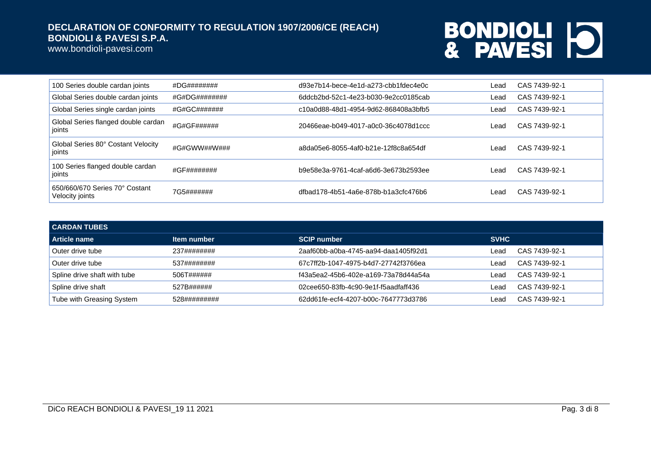www.bondioli-pavesi.com

| 100 Series double cardan joints                   | #DG########   | d93e7b14-bece-4e1d-a273-cbb1fdec4e0c | Lead | CAS 7439-92-1 |
|---------------------------------------------------|---------------|--------------------------------------|------|---------------|
| Global Series double cardan joints                | #G#DG######## | 6ddcb2bd-52c1-4e23-b030-9e2cc0185cab | Lead | CAS 7439-92-1 |
| Global Series single cardan joints                | #G#GC#######  | c10a0d88-48d1-4954-9d62-868408a3bfb5 | Lead | CAS 7439-92-1 |
| Global Series flanged double cardan<br>joints     | #G#GF######   | 20466eae-b049-4017-a0c0-36c4078d1ccc | Lead | CAS 7439-92-1 |
| Global Series 80° Costant Velocity<br>joints      | #G#GWW##W###  | a8da05e6-8055-4af0-b21e-12f8c8a654df | Lead | CAS 7439-92-1 |
| 100 Series flanged double cardan<br>joints        | #GF########   | b9e58e3a-9761-4caf-a6d6-3e673b2593ee | Lead | CAS 7439-92-1 |
| 650/660/670 Series 70° Costant<br>Velocity joints | 7G5#######    | dfbad178-4b51-4a6e-878b-b1a3cfc476b6 | Lead | CAS 7439-92-1 |

| <b>CARDAN TUBES</b>          |              |                                      |             |               |  |
|------------------------------|--------------|--------------------------------------|-------------|---------------|--|
| Article name                 | Item number  | <b>SCIP number</b>                   | <b>SVHC</b> |               |  |
| Outer drive tube             | 237########  | 2aaf60bb-a0ba-4745-aa94-daa1405f92d1 | _ead        | CAS 7439-92-1 |  |
| Outer drive tube             | 537########  | 67c7ff2b-1047-4975-b4d7-27742f3766ea | ∟ead        | CAS 7439-92-1 |  |
| Spline drive shaft with tube | 506T######   | f43a5ea2-45b6-402e-a169-73a78d44a54a | Lead.       | CAS 7439-92-1 |  |
| Spline drive shaft           | 527B######   | 02cee650-83fb-4c90-9e1f-f5aadfaff436 | _ead        | CAS 7439-92-1 |  |
| Tube with Greasing System    | 528######### | 62dd61fe-ecf4-4207-b00c-7647773d3786 | _ead        | CAS 7439-92-1 |  |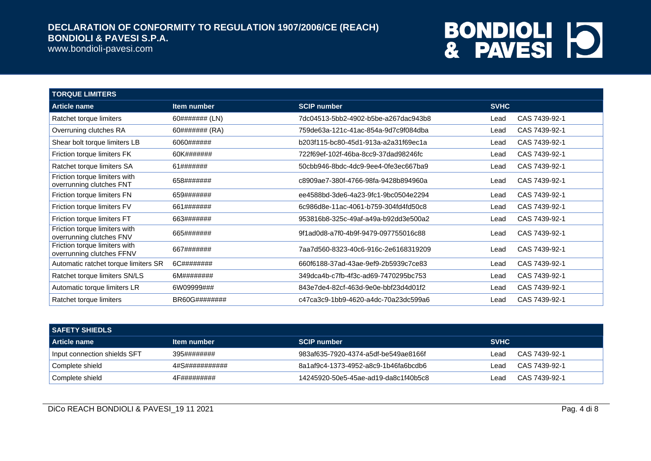www.bondioli-pavesi.com

| <b>TORQUE LIMITERS</b>                                     |                    |                                      |             |               |
|------------------------------------------------------------|--------------------|--------------------------------------|-------------|---------------|
| <b>Article name</b>                                        | <b>Item number</b> | <b>SCIP number</b>                   | <b>SVHC</b> |               |
| Ratchet torque limiters                                    | 60####### (LN)     | 7dc04513-5bb2-4902-b5be-a267dac943b8 | Lead        | CAS 7439-92-1 |
| Overruning clutches RA                                     | 60####### (RA)     | 759de63a-121c-41ac-854a-9d7c9f084dba | Lead        | CAS 7439-92-1 |
| Shear bolt torque limiters LB                              | 6060######         | b203f115-bc80-45d1-913a-a2a31f69ec1a | Lead        | CAS 7439-92-1 |
| Friction torque limiters FK                                | 60K#######         | 722f69ef-102f-46ba-8cc9-37dad98246fc | Lead        | CAS 7439-92-1 |
| Ratchet torque limiters SA                                 | 61#######          | 50cbb946-8bdc-4dc9-9ee4-0fe3ec667ba9 | Lead        | CAS 7439-92-1 |
| Friction torque limiters with<br>overrunning clutches FNT  | 658#######         | c8909ae7-380f-4766-98fa-9428b894960a | Lead        | CAS 7439-92-1 |
| Friction torque limiters FN                                | 659#######         | ee4588bd-3de6-4a23-9fc1-9bc0504e2294 | Lead        | CAS 7439-92-1 |
| Friction torque limiters FV                                | 661#######         | 6c986d8e-11ac-4061-b759-304fd4fd50c8 | Lead        | CAS 7439-92-1 |
| Friction torque limiters FT                                | 663#######         | 953816b8-325c-49af-a49a-b92dd3e500a2 | Lead        | CAS 7439-92-1 |
| Friction torque limiters with<br>overrunning clutches FNV  | 665#######         | 9f1ad0d8-a7f0-4b9f-9479-097755016c88 | Lead        | CAS 7439-92-1 |
| Friction torque limiters with<br>overrunning clutches FFNV | 667#######         | 7aa7d560-8323-40c6-916c-2e6168319209 | Lead        | CAS 7439-92-1 |
| Automatic ratchet torque limiters SR                       | 6C########         | 660f6188-37ad-43ae-9ef9-2b5939c7ce83 | Lead        | CAS 7439-92-1 |
| Ratchet torque limiters SN/LS                              | 6M########         | 349dca4b-c7fb-4f3c-ad69-7470295bc753 | Lead        | CAS 7439-92-1 |
| Automatic torque limiters LR                               | 6W09999###         | 843e7de4-82cf-463d-9e0e-bbf23d4d01f2 | Lead        | CAS 7439-92-1 |
| Ratchet torque limiters                                    | BR60G########      | c47ca3c9-1bb9-4620-a4dc-70a23dc599a6 | Lead        | CAS 7439-92-1 |

| <b>SAFETY SHIEDLS</b>        |                    |                                      |             |               |
|------------------------------|--------------------|--------------------------------------|-------------|---------------|
| l Article name               | <b>Item number</b> | <b>SCIP number</b>                   | <b>SVHC</b> |               |
| Input connection shields SFT | 395########        | 983af635-7920-4374-a5df-be549ae8166f | ∟ead        | CAS 7439-92-1 |
| Complete shield              | 4#S###########     | 8a1af9c4-1373-4952-a8c9-1b46fa6bcdb6 | Leac        | CAS 7439-92-1 |
| Complete shield              | 4F#########        | 14245920-50e5-45ae-ad19-da8c1f40b5c8 | _ead        | CAS 7439-92-1 |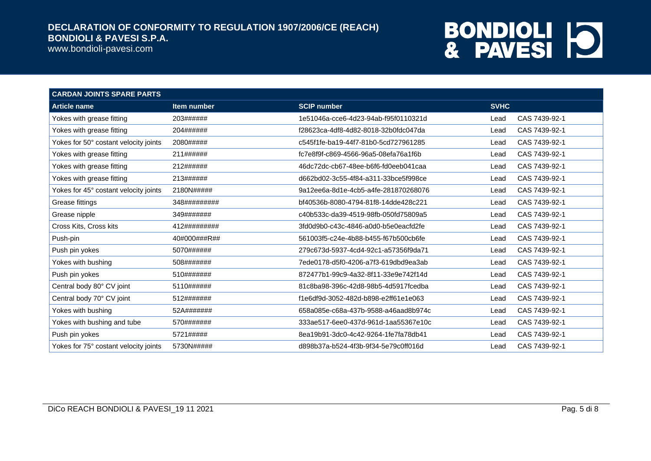www.bondioli-pavesi.com

| <b>CARDAN JOINTS SPARE PARTS</b>      |                    |                                      |             |               |
|---------------------------------------|--------------------|--------------------------------------|-------------|---------------|
| <b>Article name</b>                   | <b>Item number</b> | <b>SCIP number</b>                   | <b>SVHC</b> |               |
| Yokes with grease fitting             | 203######          | 1e51046a-cce6-4d23-94ab-f95f0110321d | Lead        | CAS 7439-92-1 |
| Yokes with grease fitting             | 204######          | f28623ca-4df8-4d82-8018-32b0fdc047da | Lead        | CAS 7439-92-1 |
| Yokes for 50° costant velocity joints | 2080#####          | c545f1fe-ba19-44f7-81b0-5cd727961285 | Lead        | CAS 7439-92-1 |
| Yokes with grease fitting             | 211######          | fc7e8f9f-c869-4566-96a5-08efa76a1f6b | Lead        | CAS 7439-92-1 |
| Yokes with grease fitting             | 212######          | 46dc72dc-cb67-48ee-b6f6-fd0eeb041caa | Lead        | CAS 7439-92-1 |
| Yokes with grease fitting             | 213######          | d662bd02-3c55-4f84-a311-33bce5f998ce | Lead        | CAS 7439-92-1 |
| Yokes for 45° costant velocity joints | 2180N#####         | 9a12ee6a-8d1e-4cb5-a4fe-281870268076 | Lead        | CAS 7439-92-1 |
| Grease fittings                       | 348#########       | bf40536b-8080-4794-81f8-14dde428c221 | Lead        | CAS 7439-92-1 |
| Grease nipple                         | 349#######         | c40b533c-da39-4519-98fb-050fd75809a5 | Lead        | CAS 7439-92-1 |
| Cross Kits, Cross kits                | 412#########       | 3fd0d9b0-c43c-4846-a0d0-b5e0eacfd2fe | Lead        | CAS 7439-92-1 |
| Push-pin                              | 40#000###R##       | 561003f5-c24e-4b88-b455-f67b500cb6fe | Lead        | CAS 7439-92-1 |
| Push pin yokes                        | 5070######         | 279c673d-5937-4cd4-92c1-a57356f9da71 | Lead        | CAS 7439-92-1 |
| Yokes with bushing                    | 508#######         | 7ede0178-d5f0-4206-a7f3-619dbd9ea3ab | Lead        | CAS 7439-92-1 |
| Push pin yokes                        | 510#######         | 872477b1-99c9-4a32-8f11-33e9e742f14d | Lead        | CAS 7439-92-1 |
| Central body 80° CV joint             | 5110######         | 81c8ba98-396c-42d8-98b5-4d5917fcedba | Lead        | CAS 7439-92-1 |
| Central body 70° CV joint             | 512#######         | f1e6df9d-3052-482d-b898-e2ff61e1e063 | Lead        | CAS 7439-92-1 |
| Yokes with bushing                    | 52A#######         | 658a085e-c68a-437b-9588-a46aad8b974c | Lead        | CAS 7439-92-1 |
| Yokes with bushing and tube           | 570#######         | 333ae517-6ee0-437d-961d-1aa55367e10c | Lead        | CAS 7439-92-1 |
| Push pin yokes                        | 5721#####          | 8ea19b91-3dc0-4c42-9264-1fe7fa78db41 | Lead        | CAS 7439-92-1 |
| Yokes for 75° costant velocity joints | 5730N#####         | d898b37a-b524-4f3b-9f34-5e79c0ff016d | Lead        | CAS 7439-92-1 |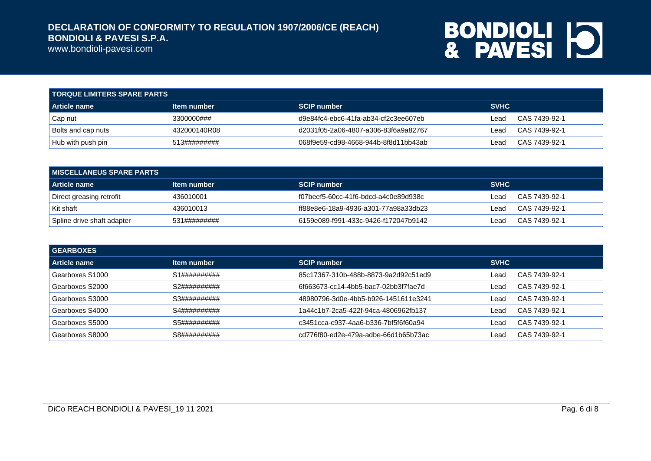www.bondioli-pavesi.com

| TORQUE LIMITERS SPARE PARTS |              |                                      |             |               |  |
|-----------------------------|--------------|--------------------------------------|-------------|---------------|--|
| <b>Article name</b>         | Item number  | <b>SCIP number</b>                   | <b>SVHC</b> |               |  |
| Cap nut                     | 3300000###   | d9e84fc4-ebc6-41fa-ab34-cf2c3ee607eb | ∟ead        | CAS 7439-92-1 |  |
| <b>Bolts and cap nuts</b>   | 432000140R08 | d2031f05-2a06-4807-a306-83f6a9a82767 | ∟ead        | CAS 7439-92-1 |  |
| Hub with push pin           | 513######### | 068f9e59-cd98-4668-944b-8f8d11bb43ab | ∟ead        | CAS 7439-92-1 |  |

| I MISCELLANEUS SPARE PARTS . |              |                                      |             |               |  |
|------------------------------|--------------|--------------------------------------|-------------|---------------|--|
| l Article name               | Item number  | <b>SCIP number</b>                   | <b>SVHC</b> |               |  |
| Direct greasing retrofit     | 436010001    | f07beef5-60cc-41f6-bdcd-a4c0e89d938c | Lead        | CAS 7439-92-1 |  |
| Kit shaft                    | 436010013    | ff88e8e6-18a9-4936-a301-77a98a33db23 | ∟ead        | CAS 7439-92-1 |  |
| Spline drive shaft adapter   | 531######### | 6159e089-f991-433c-9426-f172047b9142 | ∟ead        | CAS 7439-92-1 |  |

| <b>GEARBOXES</b> |              |                                      |             |               |
|------------------|--------------|--------------------------------------|-------------|---------------|
| l Article name   | Item number  | <b>SCIP number</b>                   | <b>SVHC</b> |               |
| Gearboxes S1000  | S1########## | 85c17367-310b-488b-8873-9a2d92c51ed9 | Lead        | CAS 7439-92-1 |
| Gearboxes S2000  | S2########## | 6f663673-cc14-4bb5-bac7-02bb3f7fae7d | _ead        | CAS 7439-92-1 |
| Gearboxes S3000  | S3########## | 48980796-3d0e-4bb5-b926-1451611e3241 | _ead        | CAS 7439-92-1 |
| Gearboxes S4000  | S4########## | 1a44c1b7-2ca5-422f-94ca-4806962fb137 | _ead        | CAS 7439-92-1 |
| Gearboxes S5000  | S5########## | c3451cca-c937-4aa6-b336-7bf5f6f60a94 | _ead        | CAS 7439-92-1 |
| Gearboxes S8000  | S8########## | cd776f80-ed2e-479a-adbe-66d1b65b73ac | _ead        | CAS 7439-92-1 |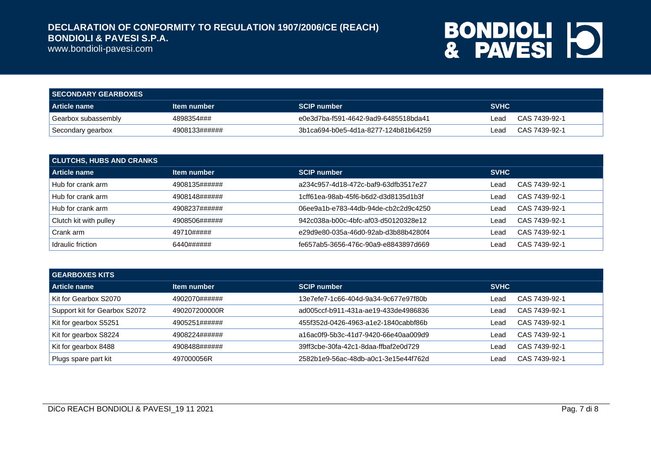www.bondioli-pavesi.com

| <b>SECONDARY GEARBOXES</b> |               |                                      |             |               |
|----------------------------|---------------|--------------------------------------|-------------|---------------|
| <b>Article name</b>        | Item number   | <b>SCIP number</b>                   | <b>SVHC</b> |               |
| Gearbox subassembly        | 4898354###    | e0e3d7ba-f591-4642-9ad9-6485518bda41 | ∟ead        | CAS 7439-92-1 |
| Secondary gearbox          | 4908133###### | 3b1ca694-b0e5-4d1a-8277-124b81b64259 | Lead        | CAS 7439-92-1 |

| <b>CLUTCHS, HUBS AND CRANKS</b> |               |                                      |             |               |  |
|---------------------------------|---------------|--------------------------------------|-------------|---------------|--|
| <b>Article name</b>             | Item number   | <b>SCIP number</b>                   | <b>SVHC</b> |               |  |
| Hub for crank arm               | 4908135###### | a234c957-4d18-472c-baf9-63dfb3517e27 | ∟ead        | CAS 7439-92-1 |  |
| Hub for crank arm               | 4908148###### | 1cff61ea-98ab-45f6-b6d2-d3d8135d1b3f | ∟ead        | CAS 7439-92-1 |  |
| Hub for crank arm               | 4908237###### | 06ee9a1b-e783-44db-94de-cb2c2d9c4250 | ∟ead        | CAS 7439-92-1 |  |
| Clutch kit with pulley          | 4908506###### | 942c038a-b00c-4bfc-af03-d50120328e12 | ∟ead        | CAS 7439-92-1 |  |
| Crank arm                       | 49710#####    | e29d9e80-035a-46d0-92ab-d3b88b4280f4 | ∟ead        | CAS 7439-92-1 |  |
| Idraulic friction               | 6440######    | fe657ab5-3656-476c-90a9-e8843897d669 | ∟ead        | CAS 7439-92-1 |  |

| <b>GEARBOXES KITS</b>         |               |                                      |             |               |  |  |
|-------------------------------|---------------|--------------------------------------|-------------|---------------|--|--|
| <b>Article name</b>           | Item number   | <b>SCIP number</b>                   | <b>SVHC</b> |               |  |  |
| Kit for Gearbox S2070         | 4902070###### | 13e7efe7-1c66-404d-9a34-9c677e97f80b | ∟ead        | CAS 7439-92-1 |  |  |
| Support kit for Gearbox S2072 | 490207200000R | ad005ccf-b911-431a-ae19-433de4986836 | Lead        | CAS 7439-92-1 |  |  |
| Kit for gearbox S5251         | 4905251###### | 455f352d-0426-4963-a1e2-1840cabbf86b | ∟ead        | CAS 7439-92-1 |  |  |
| Kit for gearbox S8224         | 4908224###### | a16ac0f9-5b3c-41d7-9420-66e40aa009d9 | ∟ead        | CAS 7439-92-1 |  |  |
| Kit for gearbox 8488          | 4908488###### | 39ff3cbe-30fa-42c1-8daa-ffbaf2e0d729 | ∟ead        | CAS 7439-92-1 |  |  |
| Plugs spare part kit          | 497000056R    | 2582b1e9-56ac-48db-a0c1-3e15e44f762d | ∟ead        | CAS 7439-92-1 |  |  |